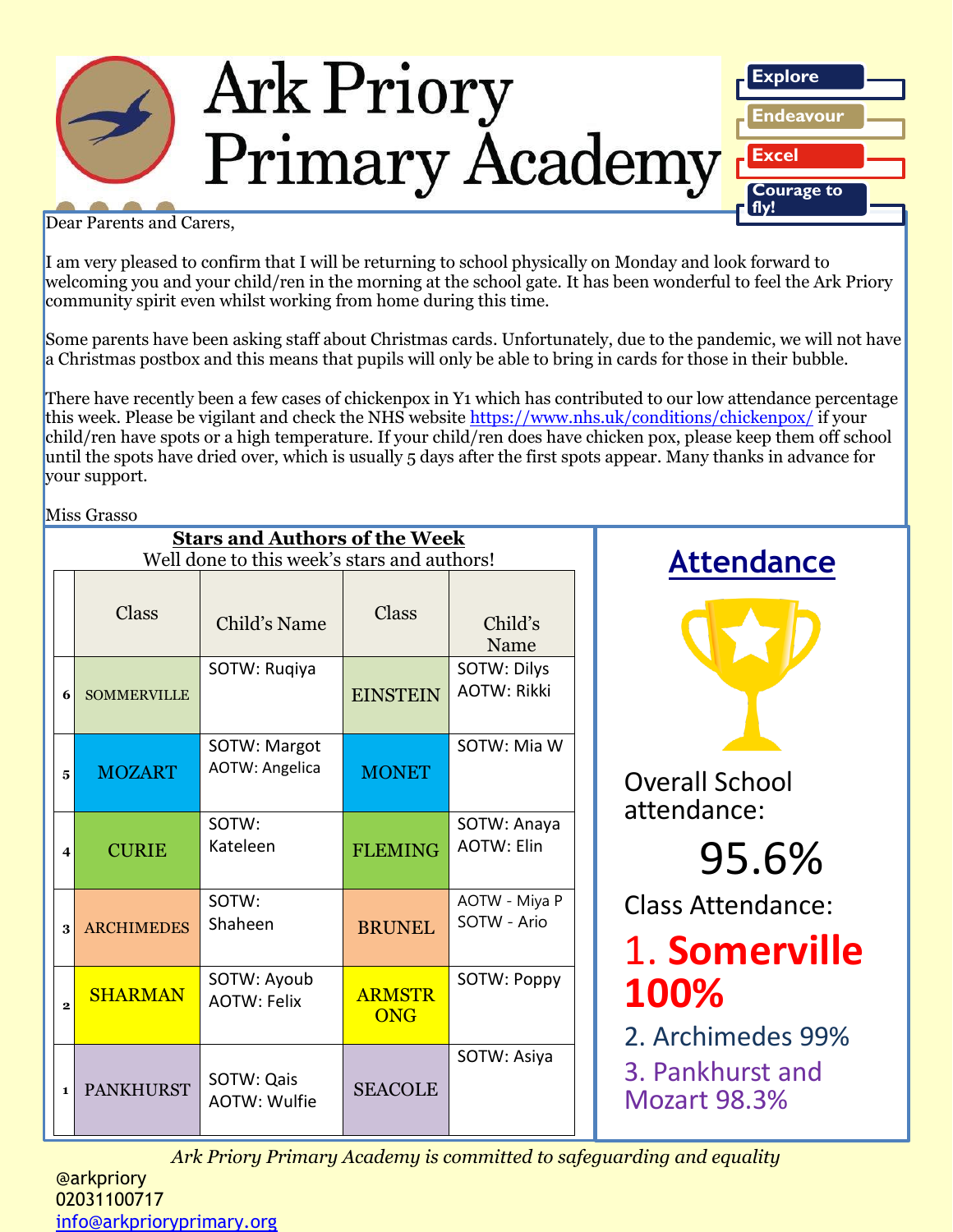

Dear Parents and Carers,

I am very pleased to confirm that I will be returning to school physically on Monday and look forward to welcoming you and your child/ren in the morning at the school gate. It has been wonderful to feel the Ark Priory community spirit even whilst working from home during this time.

Some parents have been asking staff about Christmas cards. Unfortunately, due to the pandemic, we will not have a Christmas postbox and this means that pupils will only be able to bring in cards for those in their bubble.

There have recently been a few cases of chickenpox in Y1 which has contributed to our low attendance percentage this week. Please be vigilant and check the NHS website https://www.nhs.uk/conditions/chickenpox/ if your child/ren have spots or a high temperature. If your child/ren does have chicken pox, please keep them off school until the spots have dried over, which is usually 5 days after the first spots appear. Many thanks in advance for your support.

Miss Grasso

|              |                                         | <b>Stars and Authors of the Week</b><br>Well done to this week's stars and authors! | <b>Attendance</b>           |                                   |                                                                                                                   |
|--------------|-----------------------------------------|-------------------------------------------------------------------------------------|-----------------------------|-----------------------------------|-------------------------------------------------------------------------------------------------------------------|
|              | <b>Class</b>                            | Child's Name                                                                        | <b>Class</b>                | Child's<br>Name                   |                                                                                                                   |
|              | <b>SOMMERVILLE</b><br>6                 | SOTW: Rugiya                                                                        | <b>EINSTEIN</b>             | SOTW: Dilys<br><b>AOTW: Rikki</b> |                                                                                                                   |
|              | <b>MOZART</b><br>$\overline{5}$         | SOTW: Margot<br><b>AOTW: Angelica</b>                                               | <b>MONET</b>                | SOTW: Mia W                       | <b>Overall School</b><br>attendance:                                                                              |
|              | <b>CURIE</b><br>$\overline{\mathbf{4}}$ | SOTW:<br>Kateleen                                                                   | <b>FLEMING</b>              | SOTW: Anaya<br><b>AOTW: Elin</b>  | 95.6%                                                                                                             |
|              | <b>ARCHIMEDES</b><br>$\mathbf{3}$       | SOTW:<br>Shaheen                                                                    | <b>BRUNEL</b>               | AOTW - Miya P<br>SOTW - Ario      | <b>Class Attendance:</b><br>1. Somerville<br>100%<br>2. Archimedes 99%<br>3. Pankhurst and<br><b>Mozart 98.3%</b> |
|              | <b>SHARMAN</b><br>$\overline{2}$        | SOTW: Ayoub<br><b>AOTW: Felix</b>                                                   | <b>ARMSTR</b><br><b>ONG</b> | SOTW: Poppy                       |                                                                                                                   |
| $\mathbf{1}$ | <b>PANKHURST</b>                        | SOTW: Qais<br>AOTW: Wulfie                                                          | <b>SEACOLE</b>              | SOTW: Asiya                       |                                                                                                                   |

*Ark Priory Primary Academy is committed to safeguarding and equality*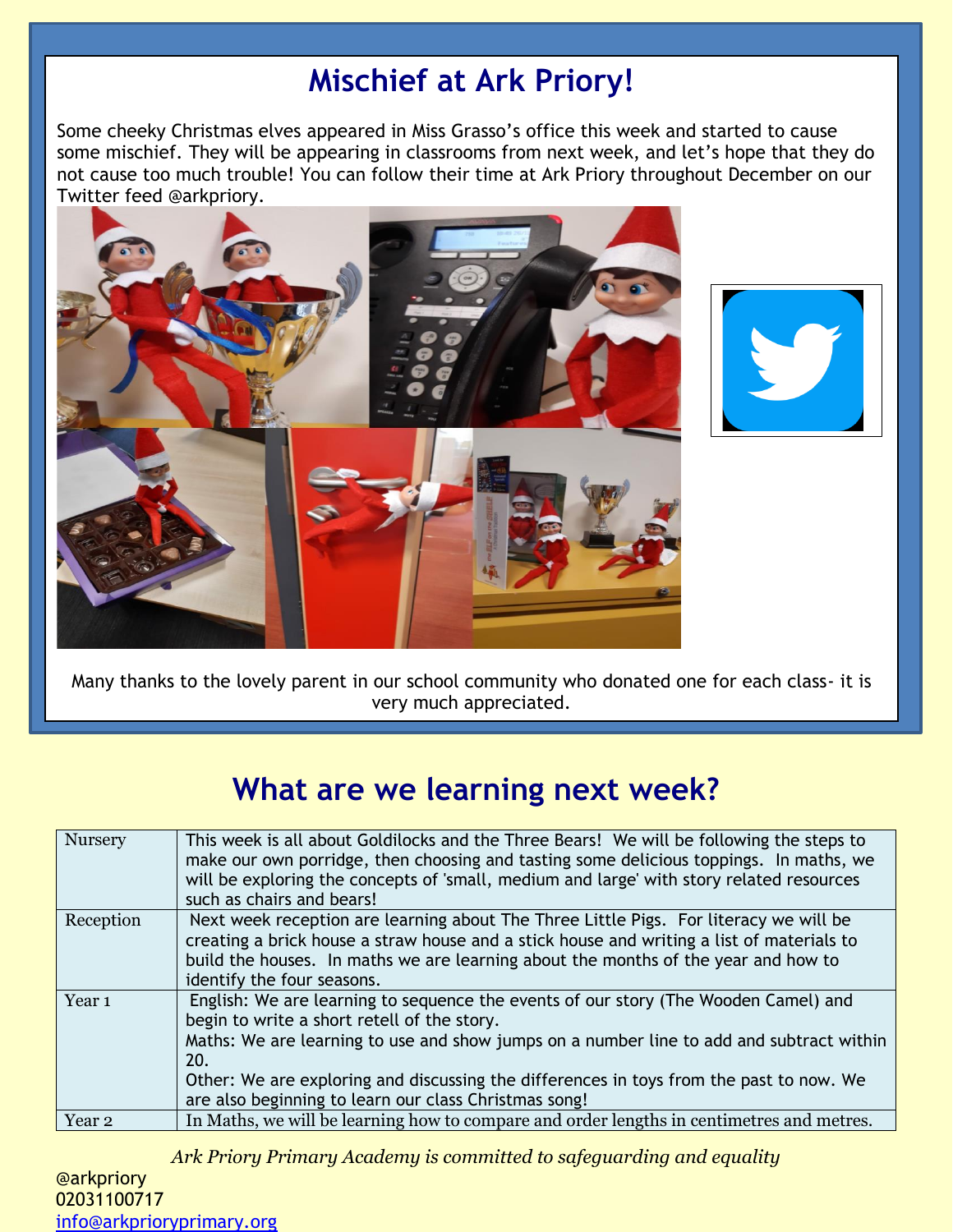# **Mischief at Ark Priory!**

Some cheeky Christmas elves appeared in Miss Grasso's office this week and started to cause some mischief. They will be appearing in classrooms from next week, and let's hope that they do not cause too much trouble! You can follow their time at Ark Priory throughout December on our Twitter feed @arkpriory.





Many thanks to the lovely parent in our school community who donated one for each class- it is very much appreciated.

## **What are we learning next week?**

| Nursery           | This week is all about Goldilocks and the Three Bears! We will be following the steps to<br>make our own porridge, then choosing and tasting some delicious toppings. In maths, we<br>will be exploring the concepts of 'small, medium and large' with story related resources<br>such as chairs and bears!                                                                               |
|-------------------|-------------------------------------------------------------------------------------------------------------------------------------------------------------------------------------------------------------------------------------------------------------------------------------------------------------------------------------------------------------------------------------------|
| Reception         | Next week reception are learning about The Three Little Pigs. For literacy we will be<br>creating a brick house a straw house and a stick house and writing a list of materials to<br>build the houses. In maths we are learning about the months of the year and how to<br>identify the four seasons.                                                                                    |
| Year <sub>1</sub> | English: We are learning to sequence the events of our story (The Wooden Camel) and<br>begin to write a short retell of the story.<br>Maths: We are learning to use and show jumps on a number line to add and subtract within<br>20.<br>Other: We are exploring and discussing the differences in toys from the past to now. We<br>are also beginning to learn our class Christmas song! |
| Year <sub>2</sub> | In Maths, we will be learning how to compare and order lengths in centimetres and metres.                                                                                                                                                                                                                                                                                                 |

*Ark Priory Primary Academy is committed to safeguarding and equality*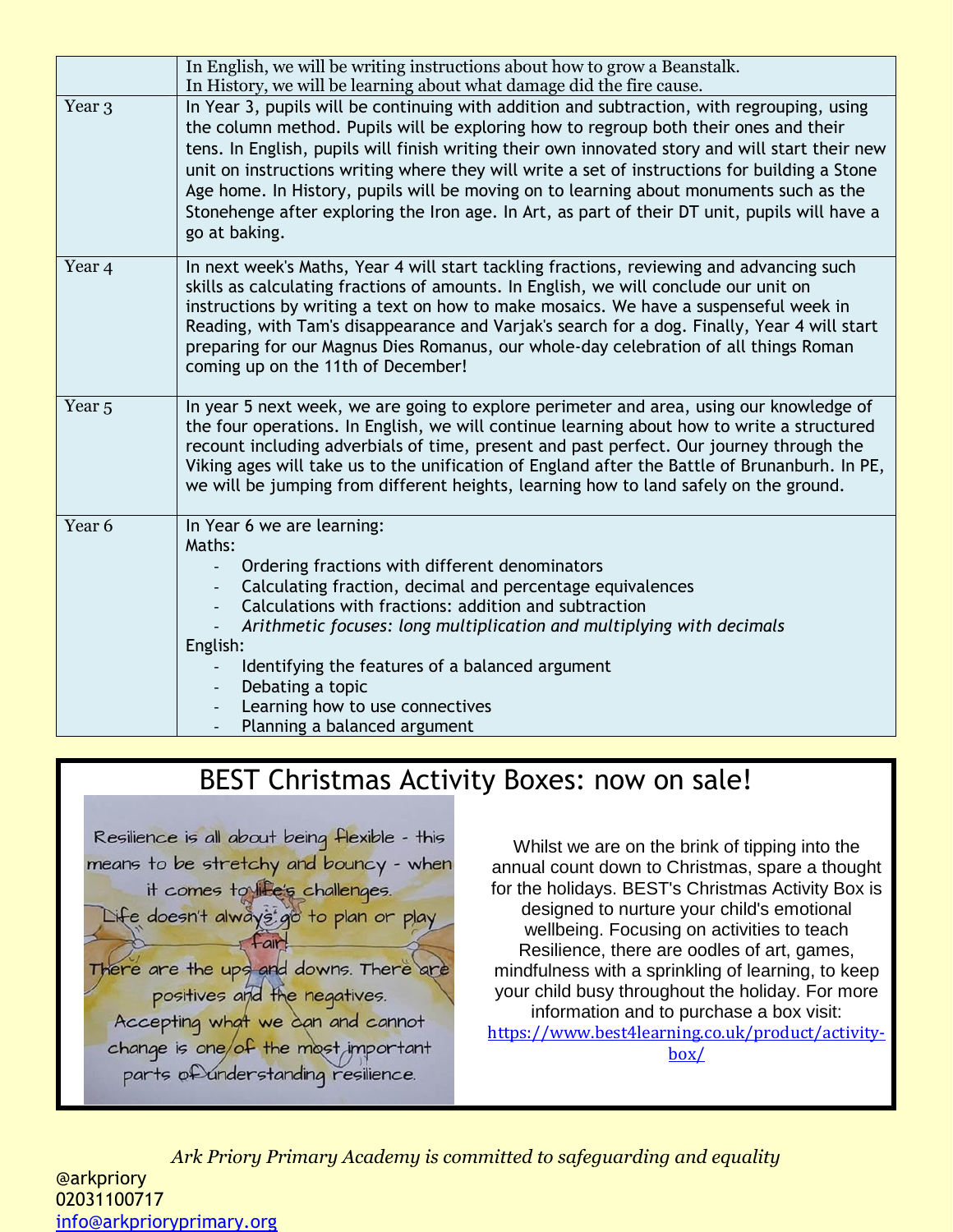|                   | In English, we will be writing instructions about how to grow a Beanstalk.<br>In History, we will be learning about what damage did the fire cause.                                                                                                                                                                                                                                                                                                                                                                                                                                                |
|-------------------|----------------------------------------------------------------------------------------------------------------------------------------------------------------------------------------------------------------------------------------------------------------------------------------------------------------------------------------------------------------------------------------------------------------------------------------------------------------------------------------------------------------------------------------------------------------------------------------------------|
| Year <sub>3</sub> | In Year 3, pupils will be continuing with addition and subtraction, with regrouping, using<br>the column method. Pupils will be exploring how to regroup both their ones and their<br>tens. In English, pupils will finish writing their own innovated story and will start their new<br>unit on instructions writing where they will write a set of instructions for building a Stone<br>Age home. In History, pupils will be moving on to learning about monuments such as the<br>Stonehenge after exploring the Iron age. In Art, as part of their DT unit, pupils will have a<br>go at baking. |
| Year <sub>4</sub> | In next week's Maths, Year 4 will start tackling fractions, reviewing and advancing such<br>skills as calculating fractions of amounts. In English, we will conclude our unit on<br>instructions by writing a text on how to make mosaics. We have a suspenseful week in<br>Reading, with Tam's disappearance and Varjak's search for a dog. Finally, Year 4 will start<br>preparing for our Magnus Dies Romanus, our whole-day celebration of all things Roman<br>coming up on the 11th of December!                                                                                              |
| Year <sub>5</sub> | In year 5 next week, we are going to explore perimeter and area, using our knowledge of<br>the four operations. In English, we will continue learning about how to write a structured<br>recount including adverbials of time, present and past perfect. Our journey through the<br>Viking ages will take us to the unification of England after the Battle of Brunanburh. In PE,<br>we will be jumping from different heights, learning how to land safely on the ground.                                                                                                                         |
| Year <sub>6</sub> | In Year 6 we are learning:<br>Maths:<br>Ordering fractions with different denominators<br>Calculating fraction, decimal and percentage equivalences<br>$\overline{\phantom{a}}$<br>Calculations with fractions: addition and subtraction<br>Arithmetic focuses: long multiplication and multiplying with decimals<br>English:<br>Identifying the features of a balanced argument<br>Debating a topic<br>$\overline{\phantom{a}}$<br>Learning how to use connectives<br>Planning a balanced argument                                                                                                |

### BEST Christmas Activity Boxes: now on sale!



Whilst we are on the brink of tipping into the annual count down to Christmas, spare a thought for the holidays. BEST's Christmas Activity Box is designed to nurture your child's emotional wellbeing. Focusing on activities to teach Resilience, there are oodles of art, games, mindfulness with a sprinkling of learning, to keep your child busy throughout the holiday. For more information and to purchase a box visit: [https://www.best4learning.co.uk/product/activity](https://www.best4learning.co.uk/product/activity-box/?fbclid=IwAR2cthig2Yb3bauiqRiGBxHtqPukkza18vZewxJh_oOlrsGStfqbXxHHh0s)[box/](https://www.best4learning.co.uk/product/activity-box/?fbclid=IwAR2cthig2Yb3bauiqRiGBxHtqPukkza18vZewxJh_oOlrsGStfqbXxHHh0s)

*Ark Priory Primary Academy is committed to safeguarding and equality*  @arkpriory 02031100717 [info@arkprioryprimary.org](mailto:info@arkprioryprimary.org)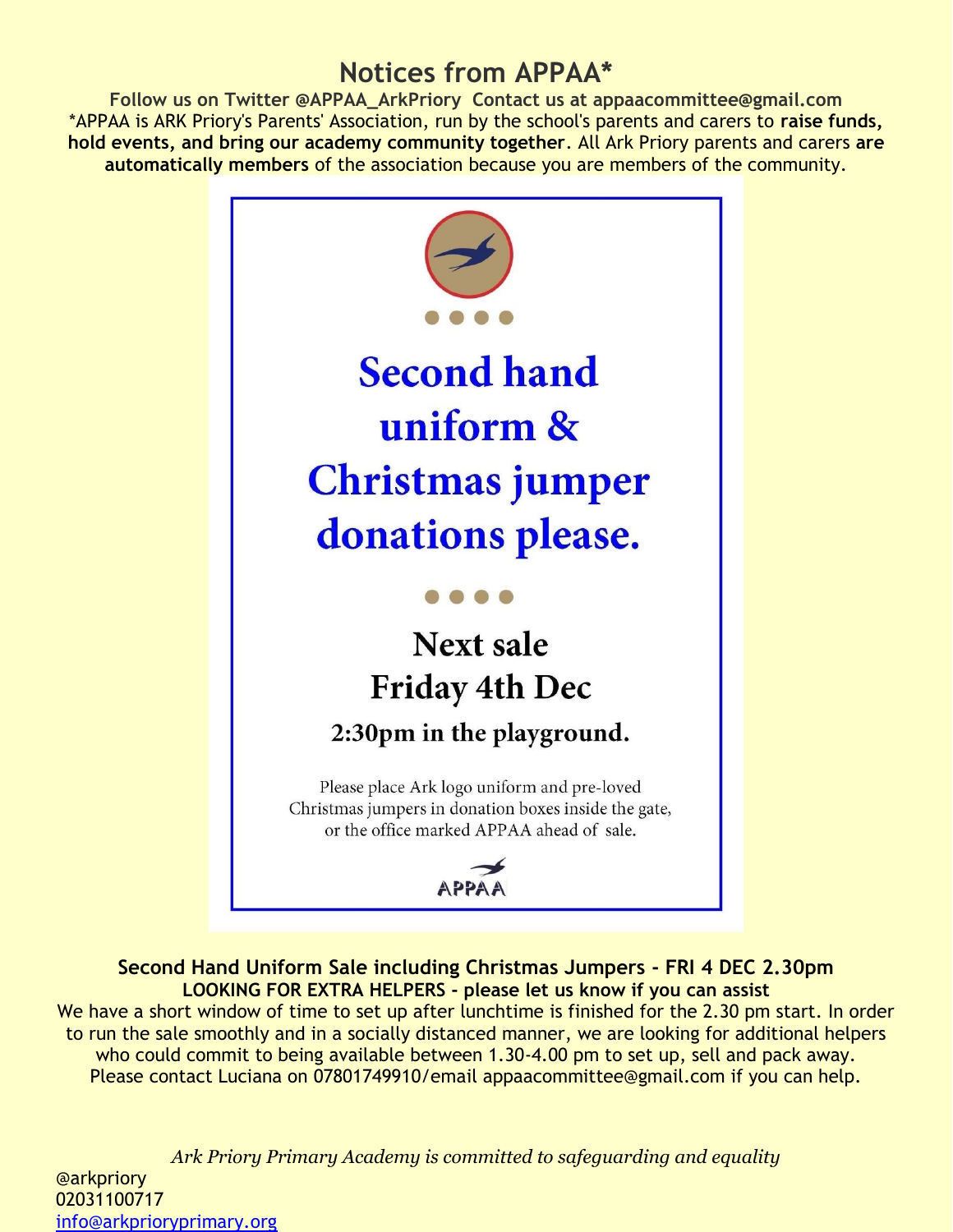### **Notices from APPAA\***

**Follow us on Twitter @APPAA\_ArkPriory Contact us at appaacommittee@gmail.com** \*APPAA is ARK Priory's Parents' Association, run by the school's parents and carers to **raise funds, hold events, and bring our academy community together**. All Ark Priory parents and carers **are automatically members** of the association because you are members of the community.



**Second Hand Uniform Sale including Christmas Jumpers - FRI 4 DEC 2.30pm LOOKING FOR EXTRA HELPERS - please let us know if you can assist**  We have a short window of time to set up after lunchtime is finished for the 2.30 pm start. In order to run the sale smoothly and in a socially distanced manner, we are looking for additional helpers who could commit to being available between 1.30-4.00 pm to set up, sell and pack away. Please contact Luciana on 07801749910/email appaacommittee@gmail.com if you can help.

*Ark Priory Primary Academy is committed to safeguarding and equality*  @arkpriory 02031100717 [info@arkprioryprimary.org](mailto:info@arkprioryprimary.org)